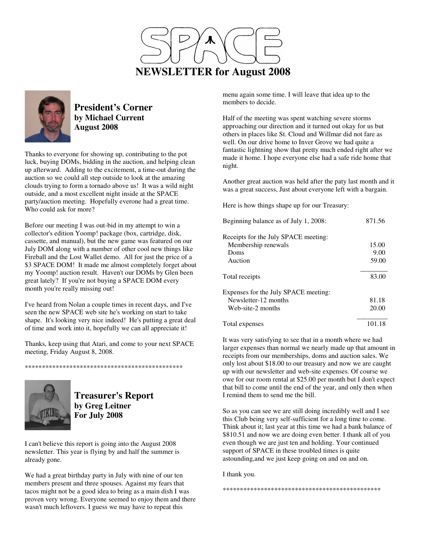



**President's Corner by Michael Current August 2008**

Thanks to everyone for showing up, contributing to the pot luck, buying DOMs, bidding in the auction, and helping clean up afterward. Adding to the excitement, a time-out during the auction so we could all step outside to look at the amazing clouds trying to form a tornado above us! It was a wild night outside, and a most excellent night inside at the SPACE party/auction meeting. Hopefully everone had a great time. Who could ask for more?

Before our meeting I was out-bid in my attempt to win a collector's edition Yoomp! package (box, cartridge, disk, cassette, and manual), but the new game was featured on our July DOM along with a number of other cool new things like Fireball and the Lost Wallet demo. All for just the price of a \$3 SPACE DOM! It made me almost completely forget about my Yoomp! auction result. Haven't our DOMs by Glen been great lately? If you're not buying a SPACE DOM every month you're really missing out!

I've heard from Nolan a couple times in recent days, and I've seen the new SPACE web site he's working on start to take shape. It's looking very nice indeed! He's putting a great deal of time and work into it, hopefully we can all appreciate it!

Thanks, keep using that Atari, and come to your next SPACE meeting, Friday August 8, 2008.

\*\*\*\*\*\*\*\*\*\*\*\*\*\*\*\*\*\*\*\*\*\*\*\*\*\*\*\*\*\*\*\*\*\*\*\*\*\*\*\*\*\*\*\*\*\*



## **Treasurer's Report by Greg Leitner For July 2008**

I can't believe this report is going into the August 2008 newsletter. This year is flying by and half the summer is already gone.

We had a great birthday party in July with nine of our ten members present and three spouses. Against my fears that tacos might not be a good idea to bring as a main dish I was proven very wrong. Everyone seemed to enjoy them and there wasn't much leftovers. I guess we may have to repeat this

menu again some time. I will leave that idea up to the members to decide.

Half of the meeting was spent watching severe storms approaching our direction and it turned out okay for us but others in places like St. Cloud and Willmar did not fare as well. On our drive home to Inver Grove we had quite a fantastic lightning show that pretty much ended right after we made it home. I hope everyone else had a safe ride home that night.

Another great auction was held after the paty last month and it was a great success, Just about everyone left with a bargain.

Here is how things shape up for our Treasury:

| Beginning balance as of July 1, 2008: | 871.56 |
|---------------------------------------|--------|
| Receipts for the July SPACE meeting:  |        |
| Membership renewals                   | 15.00  |
| Doms                                  | 9.00   |
| Auction                               | 59.00  |
| Total receipts                        | 83.00  |
| Expenses for the July SPACE meeting:  |        |
| Newsletter-12 months                  | 81.18  |
| Web-site-2 months                     | 20.00  |
| Total expenses                        | 101.18 |

It was very satisfying to see that in a month where we had larger expenses than normal we nearly made up that amount in receipts from our memberships, doms and auction sales. We only lost about \$18.00 to our treasury and now we are caught up with our newsletter and web-site expenses. Of course we owe for our room rental at \$25.00 per month but I don't expect that bill to come until the end of the year, and only then when I remind them to send me the bill.

So as you can see we are still doing incredibly well and I see this Club being very self-sufficient for a long time to come. Think about it; last year at this time we had a bank balance of \$810.51 and now we are doing even better. I thank all of you even though we are just ten and holding. Your continued support of SPACE in these troubled times is quite astounding,and we just keep going on and on and on.

I thank you.

\*\*\*\*\*\*\*\*\*\*\*\*\*\*\*\*\*\*\*\*\*\*\*\*\*\*\*\*\*\*\*\*\*\*\*\*\*\*\*\*\*\*\*\*\*\*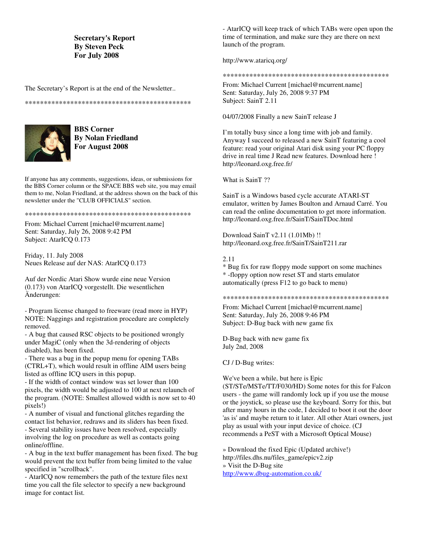#### **Secretary's Report By Steven Peck For July 2008**

The Secretary's Report is at the end of the Newsletter..

\*\*\*\*\*\*\*\*\*\*\*\*\*\*\*\*\*\*\*\*\*\*\*\*\*\*\*\*\*\*\*\*\*\*\*\*\*\*\*\*\*\*\*\*



**BBS Corner By Nolan Friedland For August 2008**

If anyone has any comments, suggestions, ideas, or submissions for the BBS Corner column or the SPACE BBS web site, you may email them to me, Nolan Friedland, at the address shown on the back of this newsletter under the "CLUB OFFICIALS" section.

#### \*\*\*\*\*\*\*\*\*\*\*\*\*\*\*\*\*\*\*\*\*\*\*\*\*\*\*\*\*\*\*\*\*\*\*\*\*\*\*\*\*\*\*\*

From: Michael Current [michael@mcurrent.name] Sent: Saturday, July 26, 2008 9:42 PM Subject: AtarICO 0.173

Friday, 11. July 2008 Neues Release auf der NAS: AtarICQ 0.173

Auf der Nordic Atari Show wurde eine neue Version (0.173) von AtarICQ vorgestellt. Die wesentlichen Änderungen:

- Program license changed to freeware (read more in HYP) NOTE: Naggings and registration procedure are completely removed.

- A bug that caused RSC objects to be positioned wrongly under MagiC (only when the 3d-rendering of objects disabled), has been fixed.

- There was a bug in the popup menu for opening TABs (CTRL+T), which would result in offline AIM users being listed as offline ICQ users in this popup.

- If the width of contact window was set lower than 100 pixels, the width would be adjusted to 100 at next relaunch of the program. (NOTE: Smallest allowed width is now set to 40 pixels!)

- A number of visual and functional glitches regarding the contact list behavior, redraws and its sliders has been fixed. - Several stability issues have been resolved, especially involving the log on procedure as well as contacts going online/offline.

- A bug in the text buffer management has been fixed. The bug would prevent the text buffer from being limited to the value specified in "scrollback".

- AtarICQ now remembers the path of the texture files next time you call the file selector to specify a new background image for contact list.

- AtarICQ will keep track of which TABs were open upon the time of termination, and make sure they are there on next launch of the program.

http://www.ataricq.org/

\*\*\*\*\*\*\*\*\*\*\*\*\*\*\*\*\*\*\*\*\*\*\*\*\*\*\*\*\*\*\*\*\*\*\*\*\*\*\*\*\*\*\*\*

From: Michael Current [michael@mcurrent.name] Sent: Saturday, July 26, 2008 9:37 PM Subject: SainT 2.11

04/07/2008 Finally a new SainT release J

I'm totally busy since a long time with job and family. Anyway I succeed to released a new SainT featuring a cool feature: read your original Atari disk using your PC floppy drive in real time J Read new features. Download here ! http://leonard.oxg.free.fr/

What is SainT ??

SainT is a Windows based cycle accurate ATARI-ST emulator, written by James Boulton and Arnaud Carré. You can read the online documentation to get more information. http://leonard.oxg.free.fr/SainT/SainTDoc.html

Download SainT v2.11 (1.01Mb) !! http://leonard.oxg.free.fr/SainT/SainT211.rar

#### 2.11

\* Bug fix for raw floppy mode support on some machines \* -floppy option now reset ST and starts emulator automatically (press F12 to go back to menu)

\*\*\*\*\*\*\*\*\*\*\*\*\*\*\*\*\*\*\*\*\*\*\*\*\*\*\*\*\*\*\*\*\*\*\*\*\*\*\*\*\*\*\*\*

From: Michael Current [michael@mcurrent.name] Sent: Saturday, July 26, 2008 9:46 PM Subject: D-Bug back with new game fix

D-Bug back with new game fix July 2nd, 2008

CJ / D-Bug writes:

We've been a while, but here is Epic (ST/STe/MSTe/TT/F030/HD) Some notes for this for Falcon users - the game will randomly lock up if you use the mouse or the joystick, so please use the keyboard. Sorry for this, but after many hours in the code, I decided to boot it out the door 'as is' and maybe return to it later. All other Atari owners, just play as usual with your input device of choice. (CJ recommends a PeST with a Microsoft Optical Mouse)

» Download the fixed Epic (Updated archive!) http://files.dhs.nu/files\_game/epicv2.zip » Visit the D-Bug site http://www.dbug-automation.co.uk/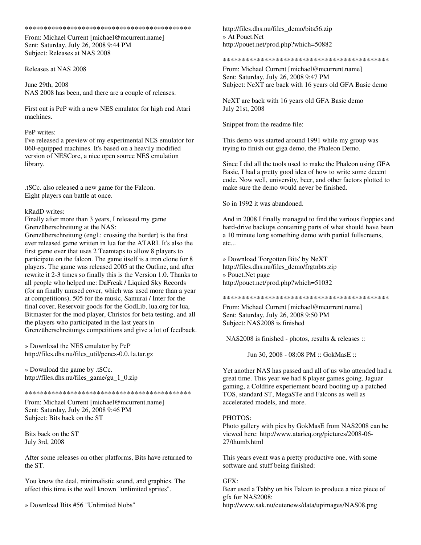\*\*\*\*\*\*\*\*\*\*\*\*\*\*\*\*\*\*\*\*\*\*\*\*\*\*\*\*\*\*\*\*\*\*\*\*\*\*\*\*\*\*\*\*

From: Michael Current [michael@mcurrent.name] Sent: Saturday, July 26, 2008 9:44 PM Subject: Releases at NAS 2008

Releases at NAS 2008

June 29th, 2008 NAS 2008 has been, and there are a couple of releases.

First out is PeP with a new NES emulator for high end Atari machines.

#### PeP writes:

I've released a preview of my experimental NES emulator for 060-equipped machines. It's based on a heavily modified version of NESCore, a nice open source NES emulation library.

.tSCc. also released a new game for the Falcon. Eight players can battle at once.

#### kRadD writes:

Finally after more than 3 years, I released my game Grenzüberschreitung at the NAS:

Grenzüberschreitung (engl.: crossing the border) is the first ever released game written in lua for the ATARI. It's also the first game ever that uses 2 Teamtaps to allow 8 players to participate on the falcon. The game itself is a tron clone for 8 players. The game was released 2005 at the Outline, and after rewrite it 2-3 times so finally this is the Version 1.0. Thanks to all people who helped me: DaFreak / Liquied Sky Records (for an finally unused cover, which was used more than a year at competitions), 505 for the music, Samurai / Inter for the final cover, Reservoir goods for the GodLib, lua.org for lua, Bitmaster for the mod player, Christos for beta testing, and all the players who participated in the last years in Grenzüberschreitungs competitions and give a lot of feedback.

» Download the NES emulator by PeP http://files.dhs.nu/files\_util/penes-0.0.1a.tar.gz

» Download the game by .tSCc. http://files.dhs.nu/files\_game/gu\_1\_0.zip

#### \*\*\*\*\*\*\*\*\*\*\*\*\*\*\*\*\*\*\*\*\*\*\*\*\*\*\*\*\*\*\*\*\*\*\*\*\*\*\*\*\*\*\*\*

From: Michael Current [michael@mcurrent.name] Sent: Saturday, July 26, 2008 9:46 PM Subject: Bits back on the ST

Bits back on the ST July 3rd, 2008

After some releases on other platforms, Bits have returned to the ST.

You know the deal, minimalistic sound, and graphics. The effect this time is the well known "unlimited sprites".

» Download Bits #56 "Unlimited blobs"

http://files.dhs.nu/files\_demo/bits56.zip » At Pouet.Net http://pouet.net/prod.php?which=50882

\*\*\*\*\*\*\*\*\*\*\*\*\*\*\*\*\*\*\*\*\*\*\*\*\*\*\*\*\*\*\*\*\*\*\*\*\*\*\*\*\*\*\*\*

From: Michael Current [michael@mcurrent.name] Sent: Saturday, July 26, 2008 9:47 PM Subject: NeXT are back with 16 years old GFA Basic demo

NeXT are back with 16 years old GFA Basic demo July 21st, 2008

Snippet from the readme file:

This demo was started around 1991 while my group was trying to finish out giga demo, the Phaleon Demo.

Since I did all the tools used to make the Phaleon using GFA Basic, I had a pretty good idea of how to write some decent code. Now well, university, beer, and other factors plotted to make sure the demo would never be finished.

So in 1992 it was abandoned.

And in 2008 I finally managed to find the various floppies and hard-drive backups containing parts of what should have been a 10 minute long something demo with partial fullscreens, etc...

» Download 'Forgotten Bits' by NeXT http://files.dhs.nu/files\_demo/frgtnbts.zip » Pouet.Net page http://pouet.net/prod.php?which=51032

\*\*\*\*\*\*\*\*\*\*\*\*\*\*\*\*\*\*\*\*\*\*\*\*\*\*\*\*\*\*\*\*\*\*\*\*\*\*\*\*\*\*\*\*

From: Michael Current [michael@mcurrent.name] Sent: Saturday, July 26, 2008 9:50 PM Subject: NAS2008 is finished

NAS2008 is finished - photos, results & releases ::

Jun 30, 2008 - 08:08 PM :: GokMasE ::

Yet another NAS has passed and all of us who attended had a great time. This year we had 8 player games going, Jaguar gaming, a Coldfire experiement board booting up a patched TOS, standard ST, MegaSTe and Falcons as well as accelerated models, and more.

#### PHOTOS:

Photo gallery with pics by GokMasE from NAS2008 can be viewed here: http://www.ataricq.org/pictures/2008-06- 27/thumb.html

This years event was a pretty productive one, with some software and stuff being finished:

#### GFX:

Bear used a Tabby on his Falcon to produce a nice piece of gfx for NAS2008: http://www.sak.nu/cutenews/data/upimages/NAS08.png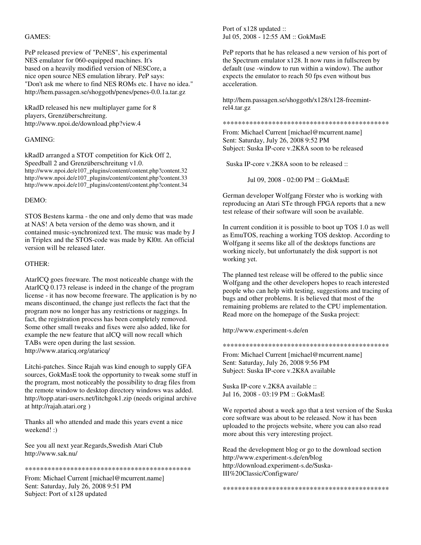#### GAMES:

PeP released preview of "PeNES", his experimental NES emulator for 060-equipped machines. It's based on a heavily modified version of NESCore, a nice open source NES emulation library. PeP says: "Don't ask me where to find NES ROMs etc. I have no idea." http://hem.passagen.se/shoggoth/penes/penes-0.0.1a.tar.gz

kRadD released his new multiplayer game for 8 players, Grenzüberschreitung. http://www.npoi.de/download.php?view.4

#### GAMING:

kRadD arranged a STOT competition for Kick Off 2, Speedball 2 and Grenzüberschreitung v1.0. http://www.npoi.de/e107\_plugins/content/content.php?content.32 http://www.npoi.de/e107\_plugins/content/content.php?content.33 http://www.npoi.de/e107\_plugins/content/content.php?content.34

#### DEMO:

STOS Bestens karma - the one and only demo that was made at NAS! A beta version of the demo was shown, and it contained music-synchronized text. The music was made by J in Triplex and the STOS-code was made by Kl0tt. An official version will be released later.

#### OTHER:

AtarICQ goes freeware. The most noticeable change with the AtarICQ 0.173 release is indeed in the change of the program license - it has now become freeware. The application is by no means discontinued, the change just reflects the fact that the program now no longer has any restrictions or naggings. In fact, the registration process has been completely removed. Some other small tweaks and fixes were also added, like for example the new feature that aICQ will now recall which TABs were open during the last session. http://www.ataricq.org/ataricq/

Litchi-patches. Since Rajah was kind enough to supply GFA sources, GokMasE took the opportunity to tweak some stuff in the program, most noticeably the possibility to drag files from the remote window to desktop directory windows was added. http://topp.atari-users.net/litchgok1.zip (needs original archive at http://rajah.atari.org )

Thanks all who attended and made this years event a nice weekend! :)

See you all next year.Regards,Swedish Atari Club http://www.sak.nu/

\*\*\*\*\*\*\*\*\*\*\*\*\*\*\*\*\*\*\*\*\*\*\*\*\*\*\*\*\*\*\*\*\*\*\*\*\*\*\*\*\*\*\*\*

From: Michael Current [michael@mcurrent.name] Sent: Saturday, July 26, 2008 9:51 PM Subject: Port of x128 updated

Port of x128 updated :: Jul 05, 2008 - 12:55 AM :: GokMasE

PeP reports that he has released a new version of his port of the Spectrum emulator x128. It now runs in fullscreen by default (use -window to run within a window). The author expects the emulator to reach 50 fps even without bus acceleration.

http://hem.passagen.se/shoggoth/x128/x128-freemintrel4.tar.gz

\*\*\*\*\*\*\*\*\*\*\*\*\*\*\*\*\*\*\*\*\*\*\*\*\*\*\*\*\*\*\*\*\*\*\*\*\*\*\*\*\*\*\*\*

From: Michael Current [michael@mcurrent.name] Sent: Saturday, July 26, 2008 9:52 PM Subject: Suska IP-core v.2K8A soon to be released

Suska IP-core v.2K8A soon to be released ::

Jul 09, 2008 - 02:00 PM :: GokMasE

German developer Wolfgang Förster who is working with reproducing an Atari STe through FPGA reports that a new test release of their software will soon be available.

In current condition it is possible to boot up TOS 1.0 as well as EmuTOS, reaching a working TOS desktop. According to Wolfgang it seems like all of the desktops functions are working nicely, but unfortunately the disk support is not working yet.

The planned test release will be offered to the public since Wolfgang and the other developers hopes to reach interested people who can help with testing, suggestions and tracing of bugs and other problems. It is believed that most of the remaining problems are related to the CPU implementation. Read more on the homepage of the Suska project:

http://www.experiment-s.de/en

\*\*\*\*\*\*\*\*\*\*\*\*\*\*\*\*\*\*\*\*\*\*\*\*\*\*\*\*\*\*\*\*\*\*\*\*\*\*\*\*\*\*\*\*

From: Michael Current [michael@mcurrent.name] Sent: Saturday, July 26, 2008 9:56 PM Subject: Suska IP-core v.2K8A available

Suska IP-core v.2K8A available :: Jul 16, 2008 - 03:19 PM :: GokMasE

We reported about a week ago that a test version of the Suska core software was about to be released. Now it has been uploaded to the projects website, where you can also read more about this very interesting project.

Read the development blog or go to the download section http://www.experiment-s.de/en/blog http://download.experiment-s.de/Suska-III%20Classic/Configware/

\*\*\*\*\*\*\*\*\*\*\*\*\*\*\*\*\*\*\*\*\*\*\*\*\*\*\*\*\*\*\*\*\*\*\*\*\*\*\*\*\*\*\*\*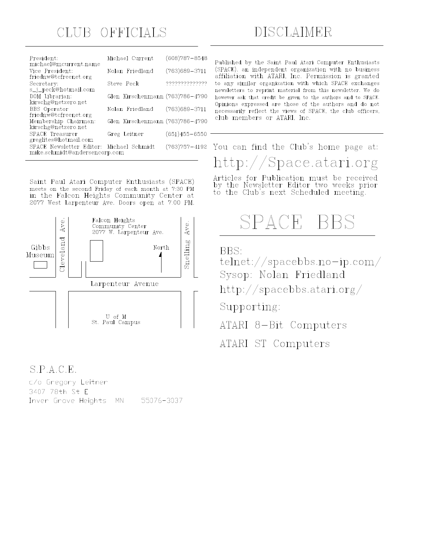## CLUB OFFICIALS

| President:<br>michael@mcurrent.name                                       | Michael Current                 | $(608)787 - 8548$ |
|---------------------------------------------------------------------------|---------------------------------|-------------------|
| Vice President:<br>friednw@tcfreenet.org                                  | Nolan Friedland                 | $(763)689 - 3711$ |
| Secretary:<br>s_j_peck@hotmail.com                                        | Steve Peck                      | ,,,,,,,,,,,,,,,   |
| DOM Librarian:<br>kirschg@netzero.net                                     | Glen Kirschenmann (763)786-4790 |                   |
| <b>BBS</b> Operator<br>friednw@tcfreenet.org                              | Nolan Friedland                 | $(763)689 - 3711$ |
| Membership Chairman:<br>kirschg@netzero.net                               | Glen Kirschenmann (763)786-4790 |                   |
| <b>SPACE Treasurer</b><br>greglites@hotmail.com                           | Greg Leitner                    | $(651)455 - 6550$ |
| SPACE Newsletter Editor: Michael Schmidt<br>mike.schmidt@andersencorp.com |                                 | $(763)757 - 4192$ |

Saint Paul Atari Computer Enthusiasts (SPACE) meets on the second Friday of each month at 7:30 PM in the Falcon Heights Community Center at 2077 West Larpenteur Ave. Doors open at 7:00 PM.



## $S.P.A.C.E.$

c/o Gregory Leitner 3407 78th St E Inver Grove Heights  $MN$ 55076-3037 Published by the Saint Paul Atari Computer Enthusiasts (SPACE), an independent organization with no business affiliation with ATARI, Inc. Permission is granted to any similar organization with which SPACE exchanges newsletters to reprint material from this newsletter. We do however ask that credit be given to the authors and to SPACE. Opinions expressed are those of the authors and do not necessarily reflect the views of SPACE, the club officers, club members or ATARI, Inc.

# You can find the Club's home page at: http://Space.atari.org

Articles for Publication must be received<br>by the Newsletter Editor two weeks prior<br>to the Club's next Scheduled meeting.

# SPACE BBS

BBS:

 $t$ elnet://spacebbs.no-ip.com/

Sysop: Nolan Friedland

http://spacebbs.atari.org/

Supporting:

ATARI 8-Bit Computers

ATARI ST Computers